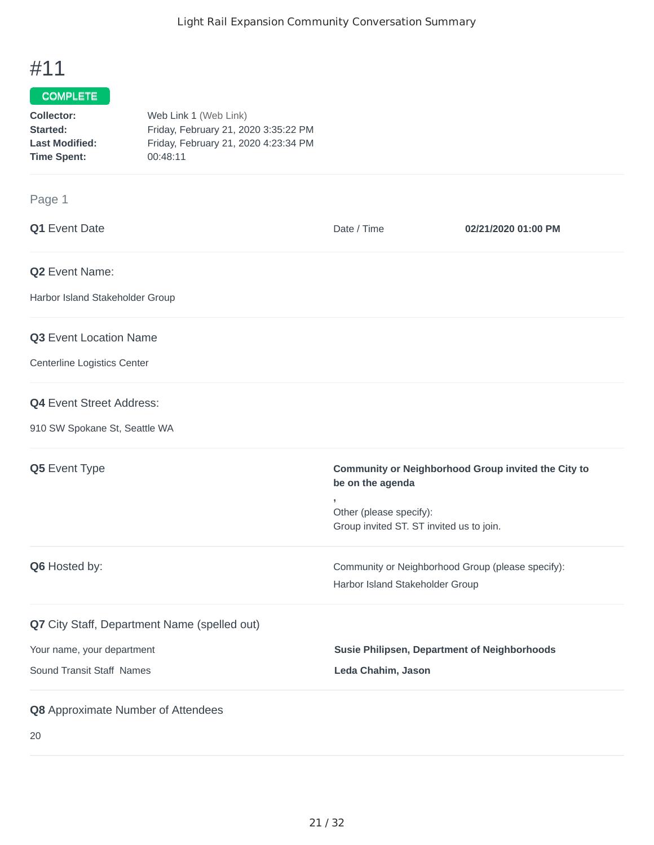## #11

## COMPLETE

| Collector:            | Web Link 1 (Web Link)                |
|-----------------------|--------------------------------------|
| Started:              | Friday, February 21, 2020 3:35:22 PM |
| <b>Last Modified:</b> | Friday, February 21, 2020 4:23:34 PM |
| <b>Time Spent:</b>    | 00:48:11                             |

## Page 1

| Q1 Event Date                                | Date / Time                                                         | 02/21/2020 01:00 PM                                 |
|----------------------------------------------|---------------------------------------------------------------------|-----------------------------------------------------|
| Q2 Event Name:                               |                                                                     |                                                     |
| Harbor Island Stakeholder Group              |                                                                     |                                                     |
| <b>Q3</b> Event Location Name                |                                                                     |                                                     |
| Centerline Logistics Center                  |                                                                     |                                                     |
| <b>Q4</b> Event Street Address:              |                                                                     |                                                     |
| 910 SW Spokane St, Seattle WA                |                                                                     |                                                     |
| Q5 Event Type                                | be on the agenda<br>,                                               | Community or Neighborhood Group invited the City to |
|                                              | Other (please specify):<br>Group invited ST. ST invited us to join. |                                                     |
| Q6 Hosted by:                                | Community or Neighborhood Group (please specify):                   |                                                     |
|                                              | Harbor Island Stakeholder Group                                     |                                                     |
| Q7 City Staff, Department Name (spelled out) |                                                                     |                                                     |
| Your name, your department                   | <b>Susie Philipsen, Department of Neighborhoods</b>                 |                                                     |
| Sound Transit Staff Names                    | Leda Chahim, Jason                                                  |                                                     |
| Q8 Approximate Number of Attendees           |                                                                     |                                                     |

20